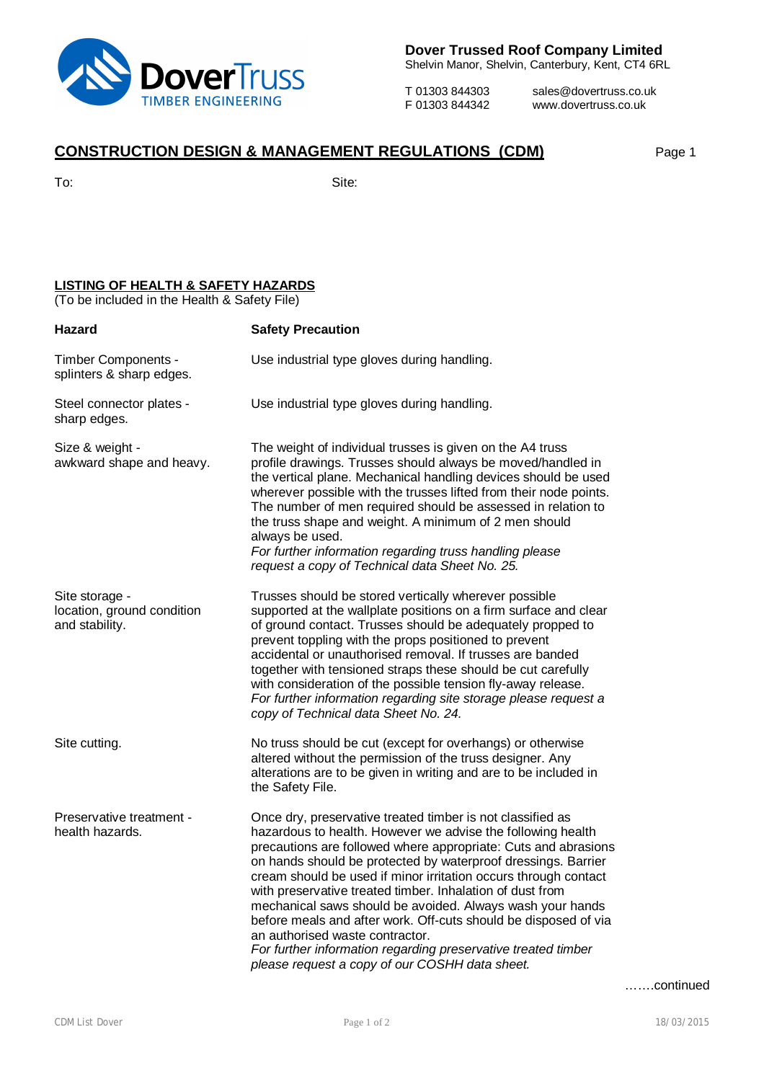

**Dover Trussed Roof Company Limited**

Shelvin Manor, Shelvin, Canterbury, Kent, CT4 6RL

T 01303 844303 sales@dovertruss.co.uk<br>F 01303 844342 www.dovertruss.co.uk www.dovertruss.co.uk

## **CONSTRUCTION DESIGN & MANAGEMENT REGULATIONS (CDM)** Page 1

To: Site:

## **LISTING OF HEALTH & SAFETY HAZARDS**

(To be included in the Health & Safety File)

| Hazard                                                         | <b>Safety Precaution</b>                                                                                                                                                                                                                                                                                                                                                                                                                                                                                                                                                                                                                                                           |
|----------------------------------------------------------------|------------------------------------------------------------------------------------------------------------------------------------------------------------------------------------------------------------------------------------------------------------------------------------------------------------------------------------------------------------------------------------------------------------------------------------------------------------------------------------------------------------------------------------------------------------------------------------------------------------------------------------------------------------------------------------|
| Timber Components -<br>splinters & sharp edges.                | Use industrial type gloves during handling.                                                                                                                                                                                                                                                                                                                                                                                                                                                                                                                                                                                                                                        |
| Steel connector plates -<br>sharp edges.                       | Use industrial type gloves during handling.                                                                                                                                                                                                                                                                                                                                                                                                                                                                                                                                                                                                                                        |
| Size & weight -<br>awkward shape and heavy.                    | The weight of individual trusses is given on the A4 truss<br>profile drawings. Trusses should always be moved/handled in<br>the vertical plane. Mechanical handling devices should be used<br>wherever possible with the trusses lifted from their node points.<br>The number of men required should be assessed in relation to<br>the truss shape and weight. A minimum of 2 men should<br>always be used.<br>For further information regarding truss handling please<br>request a copy of Technical data Sheet No. 25.                                                                                                                                                           |
| Site storage -<br>location, ground condition<br>and stability. | Trusses should be stored vertically wherever possible<br>supported at the wallplate positions on a firm surface and clear<br>of ground contact. Trusses should be adequately propped to<br>prevent toppling with the props positioned to prevent<br>accidental or unauthorised removal. If trusses are banded<br>together with tensioned straps these should be cut carefully<br>with consideration of the possible tension fly-away release.<br>For further information regarding site storage please request a<br>copy of Technical data Sheet No. 24.                                                                                                                           |
| Site cutting.                                                  | No truss should be cut (except for overhangs) or otherwise<br>altered without the permission of the truss designer. Any<br>alterations are to be given in writing and are to be included in<br>the Safety File.                                                                                                                                                                                                                                                                                                                                                                                                                                                                    |
| Preservative treatment -<br>health hazards.                    | Once dry, preservative treated timber is not classified as<br>hazardous to health. However we advise the following health<br>precautions are followed where appropriate: Cuts and abrasions<br>on hands should be protected by waterproof dressings. Barrier<br>cream should be used if minor irritation occurs through contact<br>with preservative treated timber. Inhalation of dust from<br>mechanical saws should be avoided. Always wash your hands<br>before meals and after work. Off-cuts should be disposed of via<br>an authorised waste contractor.<br>For further information regarding preservative treated timber<br>please request a copy of our COSHH data sheet. |